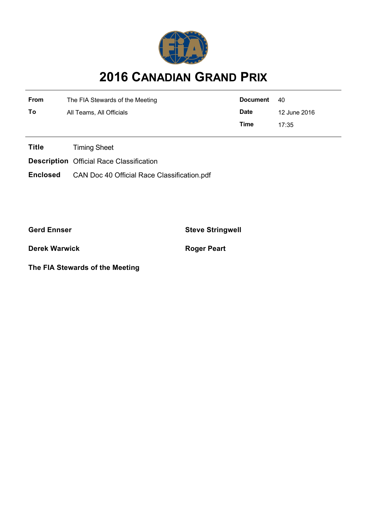

## **2016 CANADIAN GRAND PRIX**

| <b>From</b> | The FIA Stewards of the Meeting | Document                    | 40    |  |
|-------------|---------------------------------|-----------------------------|-------|--|
| To          | All Teams, All Officials        | <b>Date</b><br>12 June 2016 |       |  |
|             |                                 | Time                        | 17:35 |  |

**Title** Timing Sheet

**Description** Official Race Classification

**Enclosed** CAN Doc 40 Official Race Classification.pdf

**Gerd Ennser Steve Stringwell**

**Derek Warwick Roger Peart** 

**The FIA Stewards of the Meeting**